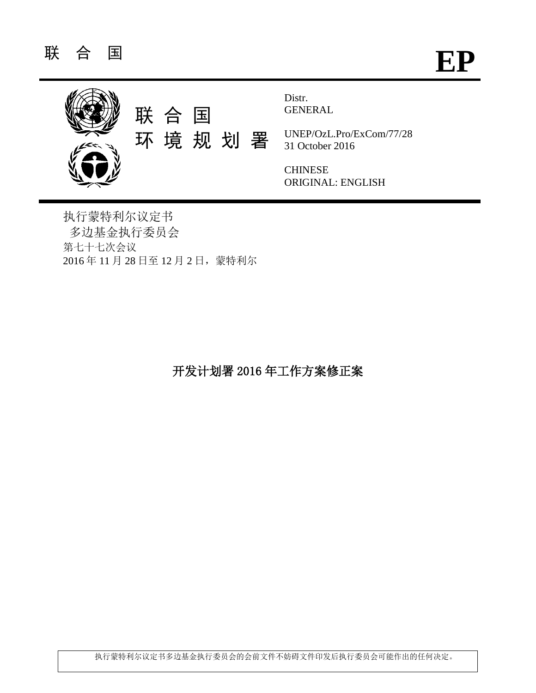

执行蒙特利尔议定书 多边基金执行委员会 第七十七次会议 2016 年 11 月 28 日至 12 月 2 日,蒙特利尔

开发计划署 2016 年工作方案修正案

执行蒙特利尔议定书多边基金执行委员会的会前文件不妨碍文件印发后执行委员会可能作出的任何决定。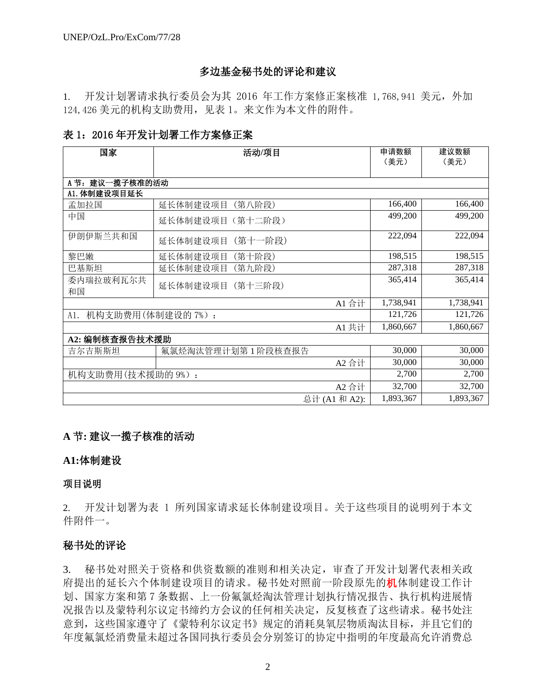## 多边基金秘书处的评论和建议

1. 开发计划署请求执行委员会为其 2016 年工作方案修正案核准 1,768,941 美元,外加 124,426 美元的机构支助费用,见表 1。来文作为本文件的附件。

## 表 1:2016 年开发计划署工作方案修正案

| 国家                       | 活动/项目               | 申请数额<br>(美元) | 建议数额<br>(美元) |
|--------------------------|---------------------|--------------|--------------|
| A 节: 建议一揽子核准的活动          |                     |              |              |
| A1. 体制建设项目延长             |                     |              |              |
| 孟加拉国                     | 延长体制建设项目<br>(第八阶段)  | 166,400      | 166,400      |
| 中国                       | 延长体制建设项目 (第十二阶段)    | 499,200      | 499,200      |
| 伊朗伊斯兰共和国                 | (第十一阶段)<br>延长体制建设项目 | 222,094      | 222,094      |
| 黎巴嫩                      | 延长体制建设项目<br>(第十阶段)  | 198,515      | 198,515      |
| 巴基斯坦                     | 延长体制建设项目<br>(第九阶段)  | 287,318      | 287,318      |
| 委内瑞拉玻利瓦尔共<br>和国          | 延长体制建设项目<br>(第十三阶段) | 365,414      | 365,414      |
|                          | A1 合计               | 1,738,941    | 1,738,941    |
| 机构支助费用(体制建设的 7%):<br>A1. |                     | 121,726      | 121,726      |
|                          | A1 共计               | 1,860,667    | 1,860,667    |
| A2: 编制核查报告技术援助           |                     |              |              |
| 吉尔吉斯斯坦                   | 氟氯烃淘汰管理计划第1阶段核查报告   | 30,000       | 30,000       |
|                          | A2 合计               | 30,000       | 30,000       |
| 机构支助费用(技术援助的9%):         |                     | 2,700        | 2,700        |
|                          | A2 合计               | 32,700       | 32,700       |
|                          | 总计 (A1 和 A2):       | 1,893,367    | 1,893,367    |

## **A** 节**:** 建议一揽子核准的活动

### **A1:**体制建设

### 项目说明

2. 开发计划署为表 1 所列国家请求延长体制建设项目。关于这些项目的说明列于本文 件附件一。

## 秘书处的评论

3. 秘书处对照关于资格和供资数额的准则和相关决定,审查了开发计划署代表相关政 府提出的延长六个体制建设项目的请求。秘书处对照前一阶段原先的机体制建设工作计 划、国家方案和第 7 条数据、上一份氟氯烃淘汰管理计划执行情况报告、执行机构进展情 况报告以及蒙特利尔议定书缔约方会议的任何相关决定,反复核查了这些请求。秘书处注 意到,这些国家遵守了《蒙特利尔议定书》规定的消耗臭氧层物质淘汰目标,并且它们的 年度氟氯烃消费量未超过各国同执行委员会分别签订的协定中指明的年度最高允许消费总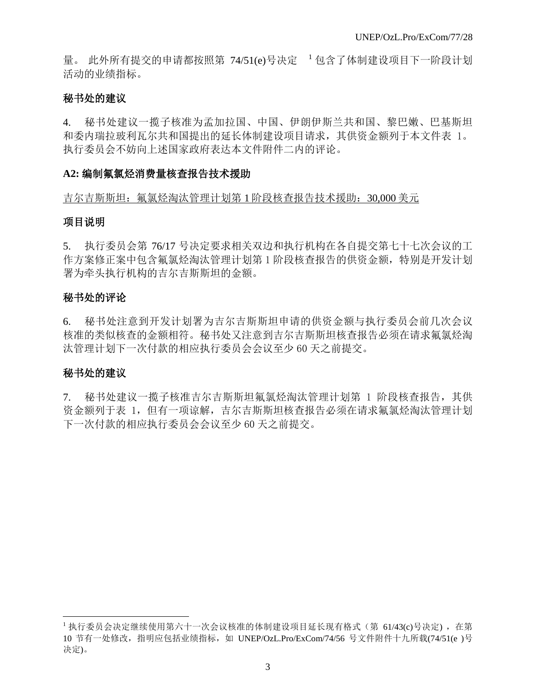量。 此外所有提交的申请都按照第 74/51(e)号决定 <sup>1</sup> 包含了体制建设项目下一阶段计划 活动的业绩指标。

## 秘书处的建议

4. 秘书处建议一揽子核准为孟加拉国、中国、伊朗伊斯兰共和国、黎巴嫩、巴基斯坦 和委内瑞拉玻利瓦尔共和国提出的延长体制建设项目请求,其供资金额列于本文件表 1。 执行委员会不妨向上述国家政府表达本文件附件二内的评论。

## **A2:** 编制氟氯烃消费量核查报告技术援助

### 吉尔吉斯斯坦: 氟氯烃淘汰管理计划第 1 阶段核查报告技术援助: 30,000 美元

## 项目说明

5. 执行委员会第 76/17 号决定要求相关双边和执行机构在各自提交第七十七次会议的工 作方案修正案中包含氟氯烃淘汰管理计划第1阶段核查报告的供资金额,特别是开发计划 署为牵头执行机构的吉尔吉斯斯坦的金额。

## 秘书处的评论

6. 秘书处注意到开发计划署为吉尔吉斯斯坦申请的供资金额与执行委员会前几次会议 核准的类似核查的金额相符。秘书处又注意到吉尔吉斯斯坦核查报告必须在请求氟氯烃淘 汰管理计划下一次付款的相应执行委员会会议至少 60 天之前提交。

# 秘书处的建议

l

7. 秘书处建议一揽子核准吉尔吉斯斯坦氟氯烃淘汰管理计划第 1 阶段核查报告,其供 资金额列于表 1,但有一项谅解,吉尔吉斯斯坦核查报告必须在请求氟氯烃淘汰管理计划 下一次付款的相应执行委员会会议至少 60 天之前提交。

<sup>&</sup>lt;sup>1</sup> 执行委员会决定继续使用第六十一次会议核准的体制建设项目延长现有格式(第 61/43(c)号决定), 在第 10 节有一处修改,指明应包括业绩指标,如 UNEP/OzL.Pro/ExCom/74/56 号文件附件十九所载(74/51(e )号 决定)。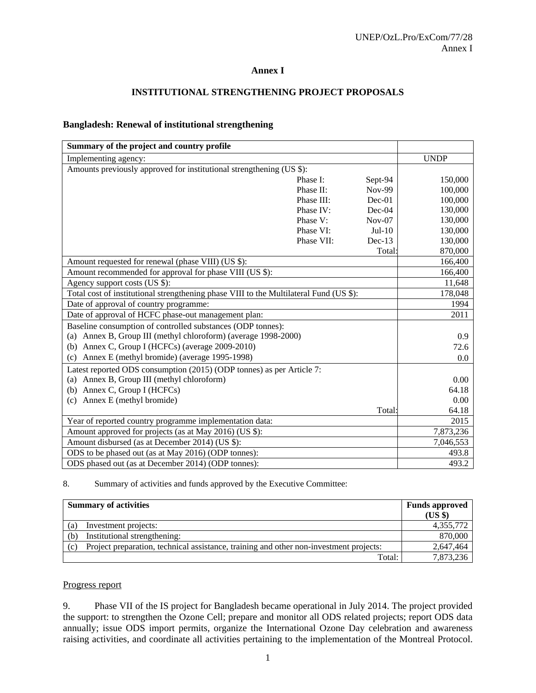#### **Annex I**

### **INSTITUTIONAL STRENGTHENING PROJECT PROPOSALS**

#### **Bangladesh: Renewal of institutional strengthening**

| Summary of the project and country profile                                             |            |               |             |
|----------------------------------------------------------------------------------------|------------|---------------|-------------|
| Implementing agency:                                                                   |            |               | <b>UNDP</b> |
| Amounts previously approved for institutional strengthening (US \$):                   |            |               |             |
|                                                                                        | Phase I:   | Sept-94       | 150,000     |
|                                                                                        | Phase II:  | <b>Nov-99</b> | 100,000     |
|                                                                                        | Phase III: | $Dec-01$      | 100,000     |
|                                                                                        | Phase IV:  | Dec-04        | 130,000     |
|                                                                                        | Phase V:   | $Nov-07$      | 130,000     |
|                                                                                        | Phase VI:  | $Jul-10$      | 130,000     |
|                                                                                        | Phase VII: | $Dec-13$      | 130,000     |
|                                                                                        |            | Total:        | 870,000     |
| Amount requested for renewal (phase VIII) (US \$):                                     |            |               | 166,400     |
| Amount recommended for approval for phase VIII (US \$):                                |            |               | 166,400     |
| Agency support costs (US \$):                                                          |            |               | 11,648      |
| Total cost of institutional strengthening phase VIII to the Multilateral Fund (US \$): |            |               | 178,048     |
| Date of approval of country programme:                                                 |            |               | 1994        |
| Date of approval of HCFC phase-out management plan:                                    |            |               | 2011        |
| Baseline consumption of controlled substances (ODP tonnes):                            |            |               |             |
| Annex B, Group III (methyl chloroform) (average 1998-2000)<br>(a)                      |            |               | 0.9         |
| Annex C, Group I (HCFCs) (average 2009-2010)<br>(b)                                    |            |               | 72.6        |
| Annex E (methyl bromide) (average 1995-1998)<br>(c)                                    |            |               | 0.0         |
| Latest reported ODS consumption (2015) (ODP tonnes) as per Article 7:                  |            |               |             |
| Annex B, Group III (methyl chloroform)<br>(a)                                          |            |               | 0.00        |
| Annex C, Group I (HCFCs)<br>(b)                                                        |            |               | 64.18       |
| Annex E (methyl bromide)<br>(c)                                                        |            |               | 0.00        |
|                                                                                        |            | Total:        | 64.18       |
| Year of reported country programme implementation data:                                |            |               | 2015        |
| Amount approved for projects (as at May 2016) (US \$):                                 |            |               | 7,873,236   |
| Amount disbursed (as at December 2014) (US \$):                                        |            |               | 7,046,553   |
| ODS to be phased out (as at May 2016) (ODP tonnes):                                    |            |               | 493.8       |
| ODS phased out (as at December 2014) (ODP tonnes):                                     |            |               | 493.2       |

8. Summary of activities and funds approved by the Executive Committee:

| <b>Summary of activities</b> |                                                                                        | <b>Funds approved</b><br>$(US \$ |
|------------------------------|----------------------------------------------------------------------------------------|----------------------------------|
| (a)                          | Investment projects:                                                                   | 4,355,772                        |
| (b)                          | Institutional strengthening:                                                           | 870,000                          |
| (c)                          | Project preparation, technical assistance, training and other non-investment projects: | 2,647,464                        |
|                              | Total:                                                                                 | 7,873,236                        |

#### Progress report

9. Phase VII of the IS project for Bangladesh became operational in July 2014. The project provided the support: to strengthen the Ozone Cell; prepare and monitor all ODS related projects; report ODS data annually; issue ODS import permits, organize the International Ozone Day celebration and awareness raising activities, and coordinate all activities pertaining to the implementation of the Montreal Protocol.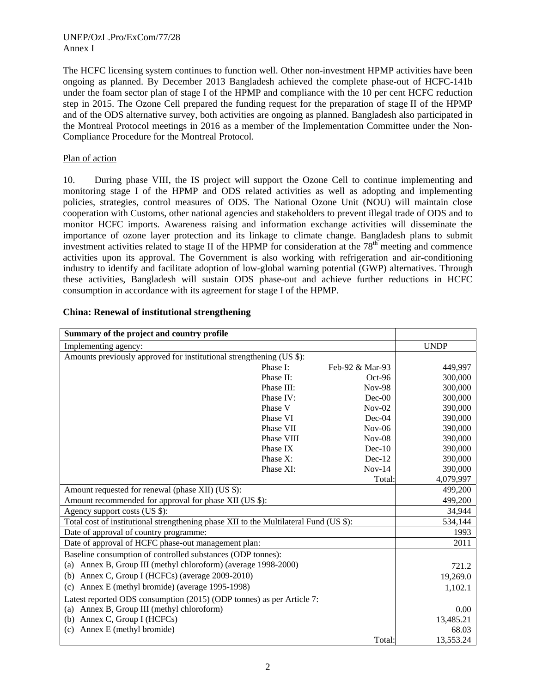#### UNEP/OzL.Pro/ExCom/77/28 Annex I

The HCFC licensing system continues to function well. Other non-investment HPMP activities have been ongoing as planned. By December 2013 Bangladesh achieved the complete phase-out of HCFC-141b under the foam sector plan of stage I of the HPMP and compliance with the 10 per cent HCFC reduction step in 2015. The Ozone Cell prepared the funding request for the preparation of stage II of the HPMP and of the ODS alternative survey, both activities are ongoing as planned. Bangladesh also participated in the Montreal Protocol meetings in 2016 as a member of the Implementation Committee under the Non-Compliance Procedure for the Montreal Protocol.

### Plan of action

10. During phase VIII, the IS project will support the Ozone Cell to continue implementing and monitoring stage I of the HPMP and ODS related activities as well as adopting and implementing policies, strategies, control measures of ODS. The National Ozone Unit (NOU) will maintain close cooperation with Customs, other national agencies and stakeholders to prevent illegal trade of ODS and to monitor HCFC imports. Awareness raising and information exchange activities will disseminate the importance of ozone layer protection and its linkage to climate change. Bangladesh plans to submit investment activities related to stage II of the HPMP for consideration at the  $78<sup>th</sup>$  meeting and commence activities upon its approval. The Government is also working with refrigeration and air-conditioning industry to identify and facilitate adoption of low-global warning potential (GWP) alternatives. Through these activities, Bangladesh will sustain ODS phase-out and achieve further reductions in HCFC consumption in accordance with its agreement for stage I of the HPMP.

| Summary of the project and country profile                                            |            |                 |             |
|---------------------------------------------------------------------------------------|------------|-----------------|-------------|
| Implementing agency:                                                                  |            |                 | <b>UNDP</b> |
| Amounts previously approved for institutional strengthening (US \$):                  |            |                 |             |
|                                                                                       | Phase I:   | Feb-92 & Mar-93 | 449,997     |
|                                                                                       | Phase II:  | $Oct-96$        | 300,000     |
|                                                                                       | Phase III: | <b>Nov-98</b>   | 300,000     |
|                                                                                       | Phase IV:  | $Dec-00$        | 300,000     |
|                                                                                       | Phase V    | $Nov-02$        | 390,000     |
|                                                                                       | Phase VI   | $Dec-04$        | 390,000     |
|                                                                                       | Phase VII  | $Nov-06$        | 390,000     |
|                                                                                       | Phase VIII | $Nov-08$        | 390,000     |
|                                                                                       | Phase IX   | $Dec-10$        | 390,000     |
|                                                                                       | Phase X:   | $Dec-12$        | 390,000     |
|                                                                                       | Phase XI:  | $Nov-14$        | 390,000     |
|                                                                                       |            | Total:          | 4,079,997   |
| Amount requested for renewal (phase XII) (US \$):                                     |            |                 | 499,200     |
| Amount recommended for approval for phase XII (US \$):                                |            |                 | 499,200     |
| Agency support costs (US \$):                                                         |            |                 | 34,944      |
| Total cost of institutional strengthening phase XII to the Multilateral Fund (US \$): |            |                 | 534,144     |
| Date of approval of country programme:                                                |            |                 | 1993        |
| Date of approval of HCFC phase-out management plan:                                   |            |                 | 2011        |
| Baseline consumption of controlled substances (ODP tonnes):                           |            |                 |             |
| (a) Annex B, Group III (methyl chloroform) (average 1998-2000)                        |            |                 | 721.2       |
| (b) Annex C, Group I (HCFCs) (average 2009-2010)                                      |            |                 | 19,269.0    |
| Annex E (methyl bromide) (average 1995-1998)<br>(c)                                   |            |                 | 1,102.1     |
| Latest reported ODS consumption (2015) (ODP tonnes) as per Article 7:                 |            |                 |             |
| Annex B, Group III (methyl chloroform)<br>(a)                                         |            |                 | 0.00        |
| (b) Annex C, Group I (HCFCs)                                                          |            |                 | 13,485.21   |
| Annex E (methyl bromide)<br>(c)                                                       |            |                 | 68.03       |
|                                                                                       |            | Total:          | 13,553.24   |

#### **China: Renewal of institutional strengthening**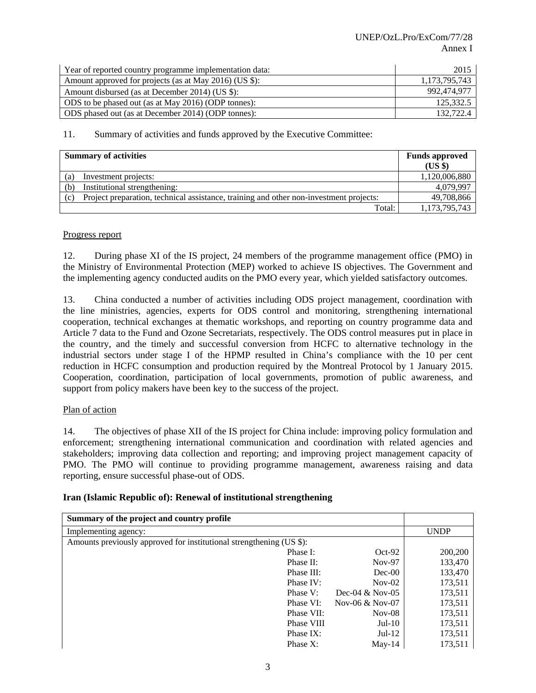| Year of reported country programme implementation data: | 2015          |
|---------------------------------------------------------|---------------|
| Amount approved for projects (as at May 2016) (US \$):  | 1,173,795,743 |
| Amount disbursed (as at December 2014) (US \$):         | 992,474,977   |
| ODS to be phased out (as at May 2016) (ODP tonnes):     | 125.332.5     |
| ODS phased out (as at December 2014) (ODP tonnes):      | 132,722.4     |

| <b>Summary of activities</b> |                                                                                        | <b>Funds approved</b><br>$(US \$ |
|------------------------------|----------------------------------------------------------------------------------------|----------------------------------|
|                              | Investment projects:                                                                   | 1,120,006,880                    |
| (a)                          |                                                                                        | 4,079,997                        |
| (b)                          | Institutional strengthening:                                                           |                                  |
| (c)                          | Project preparation, technical assistance, training and other non-investment projects: | 49,708,866                       |
|                              | Total:                                                                                 | 1,173,795,743                    |

#### Progress report

12. During phase XI of the IS project, 24 members of the programme management office (PMO) in the Ministry of Environmental Protection (MEP) worked to achieve IS objectives. The Government and the implementing agency conducted audits on the PMO every year, which yielded satisfactory outcomes.

13. China conducted a number of activities including ODS project management, coordination with the line ministries, agencies, experts for ODS control and monitoring, strengthening international cooperation, technical exchanges at thematic workshops, and reporting on country programme data and Article 7 data to the Fund and Ozone Secretariats, respectively. The ODS control measures put in place in the country, and the timely and successful conversion from HCFC to alternative technology in the industrial sectors under stage I of the HPMP resulted in China's compliance with the 10 per cent reduction in HCFC consumption and production required by the Montreal Protocol by 1 January 2015. Cooperation, coordination, participation of local governments, promotion of public awareness, and support from policy makers have been key to the success of the project.

#### Plan of action

14. The objectives of phase XII of the IS project for China include: improving policy formulation and enforcement; strengthening international communication and coordination with related agencies and stakeholders; improving data collection and reporting; and improving project management capacity of PMO. The PMO will continue to providing programme management, awareness raising and data reporting, ensure successful phase-out of ODS.

| Iran (Islamic Republic of): Renewal of institutional strengthening |  |
|--------------------------------------------------------------------|--|
|                                                                    |  |

| Summary of the project and country profile                           |            |                   |             |
|----------------------------------------------------------------------|------------|-------------------|-------------|
| Implementing agency:                                                 |            |                   | <b>UNDP</b> |
| Amounts previously approved for institutional strengthening (US \$): |            |                   |             |
|                                                                      | Phase I:   | $Oct-92$          | 200,200     |
|                                                                      | Phase II:  | $Nov-97$          | 133,470     |
|                                                                      | Phase III: | $Dec-00$          | 133,470     |
|                                                                      | Phase IV:  | $Nov-02$          | 173,511     |
|                                                                      | Phase V:   | Dec-04 $&$ Nov-05 | 173,511     |
|                                                                      | Phase VI:  | Nov-06 $&$ Nov-07 | 173,511     |
|                                                                      | Phase VII: | $Nov-08$          | 173,511     |
|                                                                      | Phase VIII | $Jul-10$          | 173,511     |
|                                                                      | Phase IX:  | $Jul-12$          | 173,511     |
|                                                                      | Phase X:   | $Mav-14$          | 173,511     |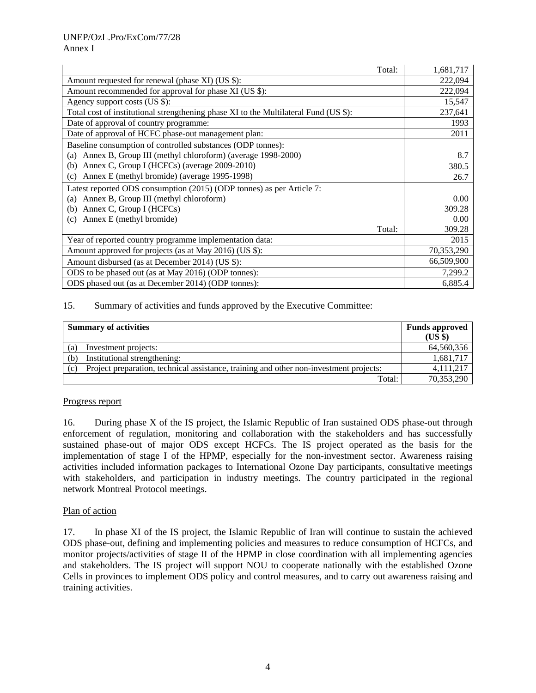|                                                                                      | Total: | 1,681,717  |
|--------------------------------------------------------------------------------------|--------|------------|
| Amount requested for renewal (phase XI) (US \$):                                     |        | 222,094    |
| Amount recommended for approval for phase XI (US \$):                                |        | 222,094    |
| Agency support costs (US \$):                                                        |        | 15,547     |
| Total cost of institutional strengthening phase XI to the Multilateral Fund (US \$): |        | 237,641    |
| Date of approval of country programme:                                               |        | 1993       |
| Date of approval of HCFC phase-out management plan:                                  |        | 2011       |
| Baseline consumption of controlled substances (ODP tonnes):                          |        |            |
| (a) Annex B, Group III (methyl chloroform) (average 1998-2000)                       |        | 8.7        |
| Annex C, Group I (HCFCs) (average 2009-2010)<br>(b)                                  |        | 380.5      |
| Annex E (methyl bromide) (average 1995-1998)<br>(c)                                  |        | 26.7       |
| Latest reported ODS consumption (2015) (ODP tonnes) as per Article 7:                |        |            |
| Annex B, Group III (methyl chloroform)<br>(a)                                        |        | 0.00       |
| Annex C, Group I (HCFCs)<br>(b)                                                      |        | 309.28     |
| Annex E (methyl bromide)<br>(c)                                                      |        | 0.00       |
|                                                                                      | Total: | 309.28     |
| Year of reported country programme implementation data:                              |        | 2015       |
| Amount approved for projects (as at May 2016) (US \$):                               |        | 70,353,290 |
| Amount disbursed (as at December 2014) (US \$):                                      |        | 66,509,900 |
| ODS to be phased out (as at May 2016) (ODP tonnes):                                  |        | 7,299.2    |
| ODS phased out (as at December 2014) (ODP tonnes):                                   |        | 6,885.4    |

| <b>Summary of activities</b>                                                                  |                              | <b>Funds approved</b><br>$(US \$ |
|-----------------------------------------------------------------------------------------------|------------------------------|----------------------------------|
| (a)                                                                                           | Investment projects:         | 64,560,356                       |
| (b)                                                                                           | Institutional strengthening: | 1,681,717                        |
| Project preparation, technical assistance, training and other non-investment projects:<br>(c) |                              | 4, 111, 217                      |
|                                                                                               | Total:                       | 70,353,290                       |

#### Progress report

16. During phase X of the IS project, the Islamic Republic of Iran sustained ODS phase-out through enforcement of regulation, monitoring and collaboration with the stakeholders and has successfully sustained phase-out of major ODS except HCFCs. The IS project operated as the basis for the implementation of stage I of the HPMP, especially for the non-investment sector. Awareness raising activities included information packages to International Ozone Day participants, consultative meetings with stakeholders, and participation in industry meetings. The country participated in the regional network Montreal Protocol meetings.

#### Plan of action

17. In phase XI of the IS project, the Islamic Republic of Iran will continue to sustain the achieved ODS phase-out, defining and implementing policies and measures to reduce consumption of HCFCs, and monitor projects/activities of stage II of the HPMP in close coordination with all implementing agencies and stakeholders. The IS project will support NOU to cooperate nationally with the established Ozone Cells in provinces to implement ODS policy and control measures, and to carry out awareness raising and training activities.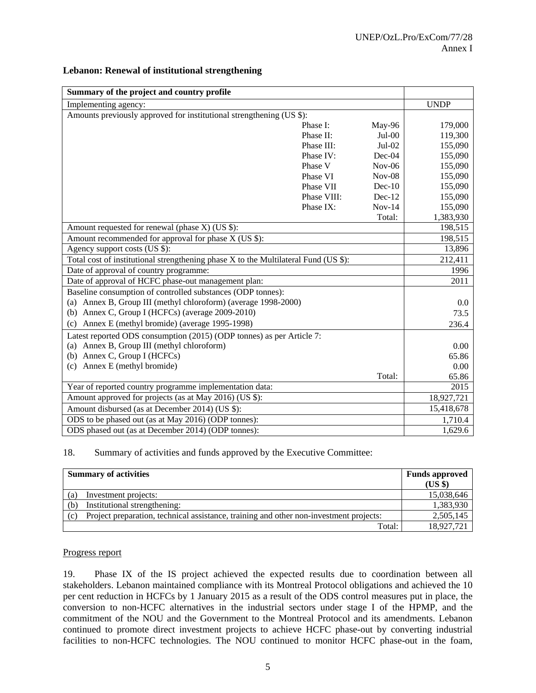| Summary of the project and country profile                                          |             |          |             |
|-------------------------------------------------------------------------------------|-------------|----------|-------------|
| Implementing agency:                                                                |             |          | <b>UNDP</b> |
| Amounts previously approved for institutional strengthening (US \$):                |             |          |             |
|                                                                                     | Phase I:    | May-96   | 179,000     |
|                                                                                     | Phase II:   | $Jul-00$ | 119,300     |
|                                                                                     | Phase III:  | $Jul-02$ | 155,090     |
|                                                                                     | Phase IV:   | Dec-04   | 155,090     |
|                                                                                     | Phase V     | $Nov-06$ | 155,090     |
|                                                                                     | Phase VI    | $Nov-08$ | 155,090     |
|                                                                                     | Phase VII   | $Dec-10$ | 155,090     |
|                                                                                     | Phase VIII: | $Dec-12$ | 155,090     |
|                                                                                     | Phase IX:   | $Nov-14$ | 155,090     |
|                                                                                     |             | Total:   | 1,383,930   |
| Amount requested for renewal (phase $X$ ) (US \$):                                  |             |          | 198,515     |
| Amount recommended for approval for phase $X$ (US \$):                              |             |          | 198,515     |
| Agency support costs (US \$):                                                       |             |          | 13,896      |
| Total cost of institutional strengthening phase X to the Multilateral Fund (US \$): |             |          | 212.411     |
| Date of approval of country programme:                                              |             |          | 1996        |
| Date of approval of HCFC phase-out management plan:                                 |             |          | 2011        |
| Baseline consumption of controlled substances (ODP tonnes):                         |             |          |             |
| Annex B, Group III (methyl chloroform) (average 1998-2000)<br>(a)                   |             |          | 0.0         |
| Annex C, Group I (HCFCs) (average 2009-2010)<br>(b)                                 |             |          | 73.5        |
| Annex E (methyl bromide) (average 1995-1998)<br>(c)                                 |             |          | 236.4       |
| Latest reported ODS consumption (2015) (ODP tonnes) as per Article 7:               |             |          |             |
| (a) Annex B, Group III (methyl chloroform)                                          |             |          | 0.00        |
| Annex C, Group I (HCFCs)<br>(b)                                                     |             |          | 65.86       |
| Annex E (methyl bromide)<br>(c)                                                     |             |          | 0.00        |
|                                                                                     |             | Total:   | 65.86       |
| Year of reported country programme implementation data:                             |             |          | 2015        |
| Amount approved for projects (as at May 2016) (US \$):                              |             |          | 18,927,721  |
| Amount disbursed (as at December 2014) (US \$):                                     |             |          | 15,418,678  |
| ODS to be phased out (as at May 2016) (ODP tonnes):                                 |             |          | 1,710.4     |
| ODS phased out (as at December 2014) (ODP tonnes):                                  |             |          | 1,629.6     |

#### **Lebanon: Renewal of institutional strengthening**

#### 18. Summary of activities and funds approved by the Executive Committee:

| <b>Summary of activities</b>                                                                  |                              | <b>Funds approved</b> |
|-----------------------------------------------------------------------------------------------|------------------------------|-----------------------|
|                                                                                               |                              | $(US \$               |
| (a)                                                                                           | Investment projects:         |                       |
| (b)                                                                                           | Institutional strengthening: | 1,383,930             |
| Project preparation, technical assistance, training and other non-investment projects:<br>(c) |                              | 2,505,145             |
|                                                                                               | Total:                       | 18,927,721            |

#### Progress report

19. Phase IX of the IS project achieved the expected results due to coordination between all stakeholders. Lebanon maintained compliance with its Montreal Protocol obligations and achieved the 10 per cent reduction in HCFCs by 1 January 2015 as a result of the ODS control measures put in place, the conversion to non-HCFC alternatives in the industrial sectors under stage I of the HPMP, and the commitment of the NOU and the Government to the Montreal Protocol and its amendments. Lebanon continued to promote direct investment projects to achieve HCFC phase-out by converting industrial facilities to non-HCFC technologies. The NOU continued to monitor HCFC phase-out in the foam,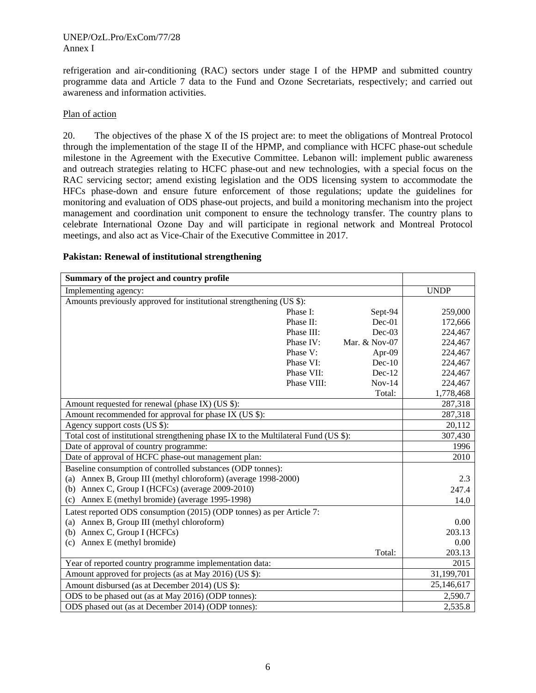refrigeration and air-conditioning (RAC) sectors under stage I of the HPMP and submitted country programme data and Article 7 data to the Fund and Ozone Secretariats, respectively; and carried out awareness and information activities.

#### Plan of action

20. The objectives of the phase X of the IS project are: to meet the obligations of Montreal Protocol through the implementation of the stage II of the HPMP, and compliance with HCFC phase-out schedule milestone in the Agreement with the Executive Committee. Lebanon will: implement public awareness and outreach strategies relating to HCFC phase-out and new technologies, with a special focus on the RAC servicing sector; amend existing legislation and the ODS licensing system to accommodate the HFCs phase-down and ensure future enforcement of those regulations; update the guidelines for monitoring and evaluation of ODS phase-out projects, and build a monitoring mechanism into the project management and coordination unit component to ensure the technology transfer. The country plans to celebrate International Ozone Day and will participate in regional network and Montreal Protocol meetings, and also act as Vice-Chair of the Executive Committee in 2017.

| Summary of the project and country profile                                           |             |               |             |
|--------------------------------------------------------------------------------------|-------------|---------------|-------------|
| Implementing agency:                                                                 |             |               | <b>UNDP</b> |
| Amounts previously approved for institutional strengthening (US \$):                 |             |               |             |
|                                                                                      | Phase I:    | Sept-94       | 259,000     |
|                                                                                      | Phase II:   | $Dec-01$      | 172,666     |
|                                                                                      | Phase III:  | $Dec-03$      | 224,467     |
|                                                                                      | Phase IV:   | Mar. & Nov-07 | 224,467     |
|                                                                                      | Phase V:    | Apr-09        | 224,467     |
|                                                                                      | Phase VI:   | $Dec-10$      | 224,467     |
|                                                                                      | Phase VII:  | $Dec-12$      | 224,467     |
|                                                                                      | Phase VIII: | $Nov-14$      | 224,467     |
|                                                                                      |             | Total:        | 1,778,468   |
| Amount requested for renewal (phase IX) (US \$):                                     |             |               | 287,318     |
| Amount recommended for approval for phase IX (US \$):                                |             |               | 287,318     |
| Agency support costs (US \$):                                                        |             |               | 20,112      |
| Total cost of institutional strengthening phase IX to the Multilateral Fund (US \$): |             |               | 307,430     |
| Date of approval of country programme:                                               |             |               | 1996        |
| Date of approval of HCFC phase-out management plan:                                  |             |               | 2010        |
| Baseline consumption of controlled substances (ODP tonnes):                          |             |               |             |
| (a) Annex B, Group III (methyl chloroform) (average 1998-2000)                       |             |               | 2.3         |
| (b) Annex C, Group I (HCFCs) (average 2009-2010)                                     |             |               | 247.4       |
| Annex E (methyl bromide) (average 1995-1998)<br>(c)                                  |             |               | 14.0        |
| Latest reported ODS consumption (2015) (ODP tonnes) as per Article 7:                |             |               |             |
| (a) Annex B, Group III (methyl chloroform)                                           |             |               | 0.00        |
| (b) Annex C, Group I (HCFCs)                                                         |             |               | 203.13      |
| Annex E (methyl bromide)<br>(c)                                                      |             |               | 0.00        |
|                                                                                      |             | Total:        | 203.13      |
| Year of reported country programme implementation data:                              |             |               | 2015        |
| Amount approved for projects (as at May 2016) (US \$):                               | 31,199,701  |               |             |
| Amount disbursed (as at December 2014) (US \$):                                      | 25,146,617  |               |             |
| ODS to be phased out (as at May 2016) (ODP tonnes):                                  |             |               | 2,590.7     |
| ODS phased out (as at December 2014) (ODP tonnes):                                   |             |               | 2,535.8     |

#### **Pakistan: Renewal of institutional strengthening**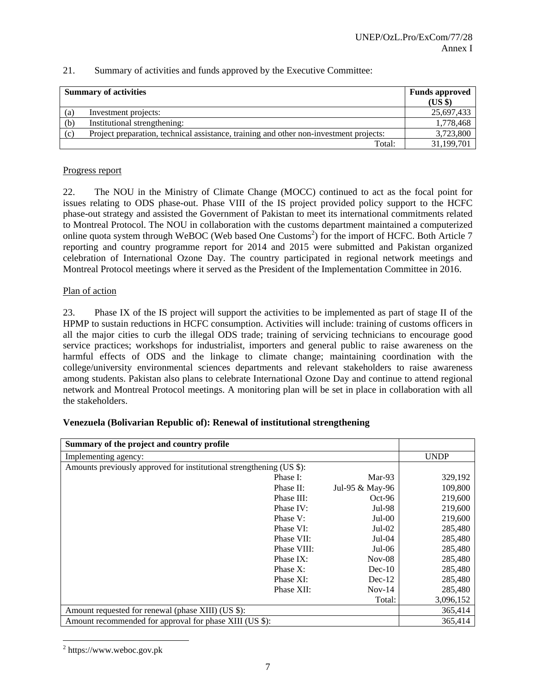|     | <b>Summary of activities</b>                                                           | <b>Funds approved</b><br>(US \$) |
|-----|----------------------------------------------------------------------------------------|----------------------------------|
| (a) | Investment projects:                                                                   | 25,697,433                       |
| (b) | Institutional strengthening:                                                           | 1,778,468                        |
| (c) | Project preparation, technical assistance, training and other non-investment projects: | 3,723,800                        |
|     | Total:                                                                                 | 31,199,701                       |

#### Progress report

22. The NOU in the Ministry of Climate Change (MOCC) continued to act as the focal point for issues relating to ODS phase-out. Phase VIII of the IS project provided policy support to the HCFC phase-out strategy and assisted the Government of Pakistan to meet its international commitments related to Montreal Protocol. The NOU in collaboration with the customs department maintained a computerized online quota system through WeBOC (Web based One Customs<sup>2</sup>) for the import of HCFC. Both Article 7 reporting and country programme report for 2014 and 2015 were submitted and Pakistan organized celebration of International Ozone Day. The country participated in regional network meetings and Montreal Protocol meetings where it served as the President of the Implementation Committee in 2016.

#### Plan of action

23. Phase IX of the IS project will support the activities to be implemented as part of stage II of the HPMP to sustain reductions in HCFC consumption. Activities will include: training of customs officers in all the major cities to curb the illegal ODS trade; training of servicing technicians to encourage good service practices; workshops for industrialist, importers and general public to raise awareness on the harmful effects of ODS and the linkage to climate change; maintaining coordination with the college/university environmental sciences departments and relevant stakeholders to raise awareness among students. Pakistan also plans to celebrate International Ozone Day and continue to attend regional network and Montreal Protocol meetings. A monitoring plan will be set in place in collaboration with all the stakeholders.

#### **Venezuela (Bolivarian Republic of): Renewal of institutional strengthening**

| Summary of the project and country profile                           |             |                 |             |
|----------------------------------------------------------------------|-------------|-----------------|-------------|
| Implementing agency:                                                 |             |                 | <b>UNDP</b> |
| Amounts previously approved for institutional strengthening (US \$): |             |                 |             |
|                                                                      | Phase I:    | Mar-93          | 329,192     |
|                                                                      | Phase II:   | Jul-95 & May-96 | 109,800     |
|                                                                      | Phase III:  | $Oct-96$        | 219,600     |
|                                                                      | Phase IV:   | Jul-98          | 219,600     |
|                                                                      | Phase V:    | $Jul-00$        | 219,600     |
|                                                                      | Phase VI:   | $Jul-02$        | 285,480     |
|                                                                      | Phase VII:  | $Jul-04$        | 285,480     |
|                                                                      | Phase VIII: | $Jul-06$        | 285,480     |
|                                                                      | Phase IX:   | $Nov-08$        | 285,480     |
|                                                                      | Phase $X$ : | $Dec-10$        | 285,480     |
|                                                                      | Phase XI:   | $Dec-12$        | 285,480     |
|                                                                      | Phase XII:  | $Nov-14$        | 285,480     |
|                                                                      |             | Total:          | 3,096,152   |
| Amount requested for renewal (phase XIII) (US \$):                   |             |                 | 365,414     |
| Amount recommended for approval for phase XIII (US \$):              |             |                 | 365,414     |

 $2$  https://www.weboc.gov.pk

l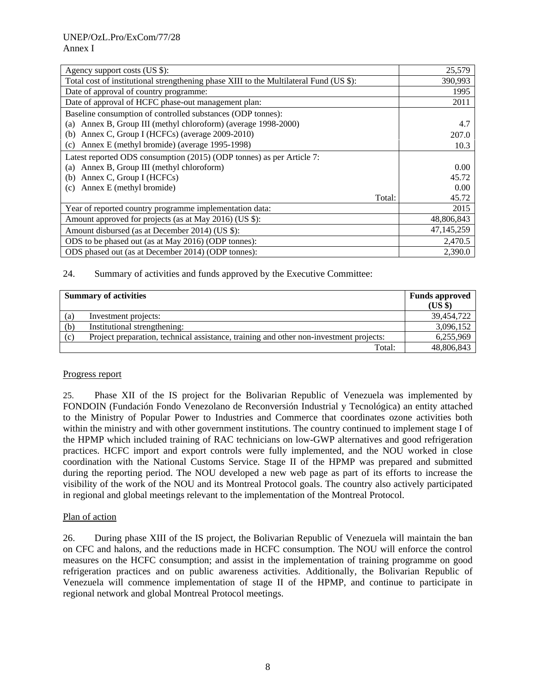| Agency support costs (US \$):                                                          | 25,579     |
|----------------------------------------------------------------------------------------|------------|
| Total cost of institutional strengthening phase XIII to the Multilateral Fund (US \$): | 390,993    |
| Date of approval of country programme:                                                 | 1995       |
| Date of approval of HCFC phase-out management plan:                                    | 2011       |
| Baseline consumption of controlled substances (ODP tonnes):                            |            |
| Annex B, Group III (methyl chloroform) (average 1998-2000)<br>(a)                      | 4.7        |
| Annex C, Group I (HCFCs) (average 2009-2010)<br>(b)                                    | 207.0      |
| Annex E (methyl bromide) (average 1995-1998)<br>(c)                                    | 10.3       |
| Latest reported ODS consumption (2015) (ODP tonnes) as per Article 7:                  |            |
| Annex B, Group III (methyl chloroform)<br>(a)                                          | 0.00       |
| Annex C, Group I (HCFCs)<br>(b)                                                        | 45.72      |
| Annex E (methyl bromide)<br>(c)                                                        | 0.00       |
| Total:                                                                                 | 45.72      |
| Year of reported country programme implementation data:                                | 2015       |
| Amount approved for projects (as at May 2016) (US \$):                                 | 48,806,843 |
| Amount disbursed (as at December 2014) (US \$):                                        | 47,145,259 |
| ODS to be phased out (as at May 2016) (ODP tonnes):                                    | 2,470.5    |
| ODS phased out (as at December 2014) (ODP tonnes):                                     | 2,390.0    |

| <b>Summary of activities</b> |                                                                                        | <b>Funds approved</b><br>(US \$) |
|------------------------------|----------------------------------------------------------------------------------------|----------------------------------|
| (a)                          | Investment projects:                                                                   | 39,454,722                       |
| (b)                          | Institutional strengthening:                                                           | 3,096,152                        |
| (c)                          | Project preparation, technical assistance, training and other non-investment projects: | 6,255,969                        |
|                              | Total:                                                                                 | 48,806,843                       |

#### Progress report

25. Phase XII of the IS project for the Bolivarian Republic of Venezuela was implemented by FONDOIN (Fundación Fondo Venezolano de Reconversión Industrial y Tecnológica) an entity attached to the Ministry of Popular Power to Industries and Commerce that coordinates ozone activities both within the ministry and with other government institutions. The country continued to implement stage I of the HPMP which included training of RAC technicians on low-GWP alternatives and good refrigeration practices. HCFC import and export controls were fully implemented, and the NOU worked in close coordination with the National Customs Service. Stage II of the HPMP was prepared and submitted during the reporting period. The NOU developed a new web page as part of its efforts to increase the visibility of the work of the NOU and its Montreal Protocol goals. The country also actively participated in regional and global meetings relevant to the implementation of the Montreal Protocol.

#### Plan of action

26. During phase XIII of the IS project, the Bolivarian Republic of Venezuela will maintain the ban on CFC and halons, and the reductions made in HCFC consumption. The NOU will enforce the control measures on the HCFC consumption; and assist in the implementation of training programme on good refrigeration practices and on public awareness activities. Additionally, the Bolivarian Republic of Venezuela will commence implementation of stage II of the HPMP, and continue to participate in regional network and global Montreal Protocol meetings.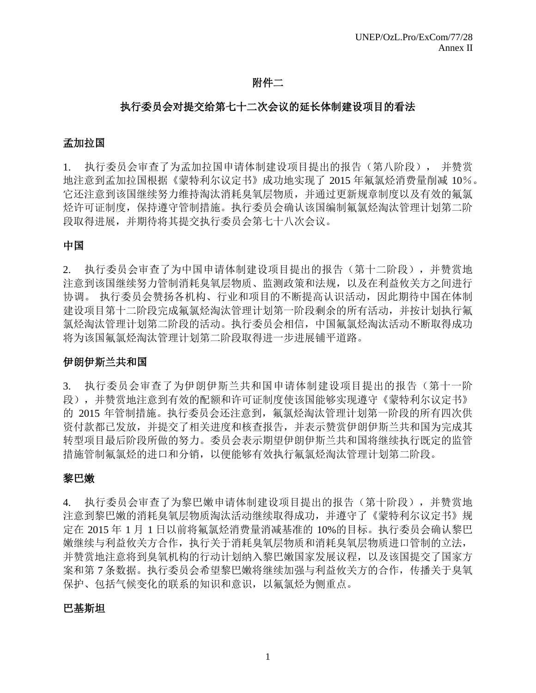## 附件二

## 执行委员会对提交给第七十二次会议的延长体制建设项目的看法

## 孟加拉国

1. 执行委员会审查了为孟加拉国申请体制建设项目提出的报告(第八阶段), 并赞赏 地注意到孟加拉国根据《蒙特利尔议定书》成功地实现了 2015 年氟氯烃消费量削减 10%。 它还注意到该国继续努力维持淘汰消耗臭氧层物质,并通过更新规章制度以及有效的氟氯 烃许可证制度,保持遵守管制措施。执行委员会确认该国编制氟氯烃淘汰管理计划第二阶 段取得进展,并期待将其提交执行委员会第七十八次会议。

### 中国

2. 执行委员会审查了为中国申请体制建设项目提出的报告(第十二阶段),并赞赏地 注意到该国继续努力管制消耗臭氧层物质、监测政策和法规,以及在利益攸关方之间进行 协调。 执行委员会赞扬各机构、行业和项目的不断提高认识活动,因此期待中国在体制 建设项目第十二阶段完成氟氯烃淘汰管理计划第一阶段剩余的所有活动,并按计划执行氟 氯烃淘汰管理计划第二阶段的活动。执行委员会相信,中国氟氯烃淘汰活动不断取得成功 将为该国氟氯烃淘汰管理计划第二阶段取得进一步进展铺平道路。

### 伊朗伊斯兰共和国

3. 执行委员会审查了为伊朗伊斯兰共和国申请体制建设项目提出的报告(第十一阶 段),并赞赏地注意到有效的配额和许可证制度使该国能够实现遵守《蒙特利尔议定书》 的 2015 年管制措施。执行委员会还注意到,氟氯烃淘汰管理计划第一阶段的所有四次供 资付款都已发放,并提交了相关进度和核查报告,并表示赞赏伊朗伊斯兰共和国为完成其 转型项目最后阶段所做的努力。委员会表示期望伊朗伊斯兰共和国将继续执行既定的监管 措施管制氟氯烃的进口和分销,以便能够有效执行氟氯烃淘汰管理计划第二阶段。

# 黎巴嫩

4. 执行委员会审查了为黎巴嫩申请体制建设项目提出的报告(第十阶段),并赞赏地 注意到黎巴嫩的消耗臭氧层物质淘汰活动继续取得成功,并遵守了《蒙特利尔议定书》规 定在 2015 年 1 月 1 日以前将氟氯烃消费量消减基准的 10%的目标。执行委员会确认黎巴 嫩继续与利益攸关方合作,执行关于消耗臭氧层物质和消耗臭氧层物质进口管制的立法, 并赞赏地注意将到臭氧机构的行动计划纳入黎巴嫩国家发展议程,以及该国提交了国家方 案和第 7 条数据。执行委员会希望黎巴嫩将继续加强与利益攸关方的合作,传播关于臭氧 保护、包括气候变化的联系的知识和意识,以氟氯烃为侧重点。

### 巴基斯坦

1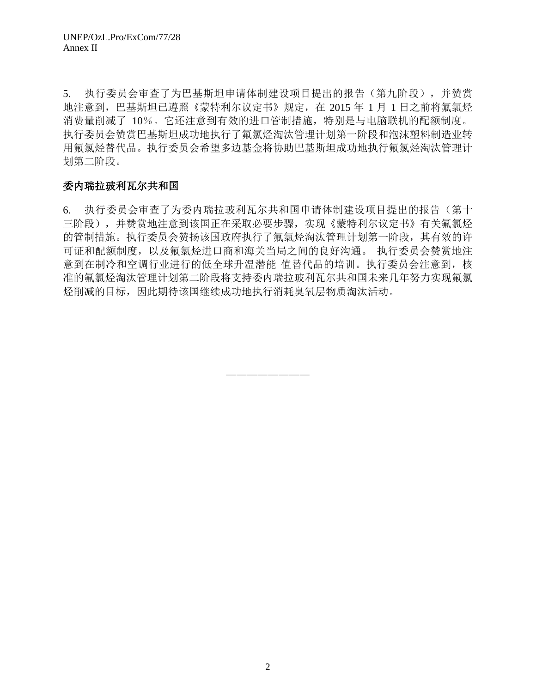5. 执行委员会审查了为巴基斯坦申请体制建设项目提出的报告(第九阶段),并赞赏 地注意到,巴基斯坦已遵照《蒙特利尔议定书》规定,在 2015 年 1 月 1 日之前将氟氯烃 消费量削减了 10%。它还注意到有效的进口管制措施,特别是与电脑联机的配额制度。 执行委员会赞赏巴基斯坦成功地执行了氟氯烃淘汰管理计划第一阶段和泡沫塑料制造业转 用氟氯烃替代品。执行委员会希望多边基金将协助巴基斯坦成功地执行氟氯烃淘汰管理计 划第二阶段。

# 委内瑞拉玻利瓦尔共和国

6. 执行委员会审查了为委内瑞拉玻利瓦尔共和国申请体制建设项目提出的报告(第十 三阶段),并赞赏地注意到该国正在采取必要步骤,实现《蒙特利尔议定书》有关氟氯烃 的管制措施。执行委员会赞扬该国政府执行了氟氯烃淘汰管理计划第一阶段,其有效的许 可证和配额制度,以及氟氯烃进口商和海关当局之间的良好沟通。 执行委员会赞赏地注 意到在制冷和空调行业进行的低全球升温潜能 值替代品的培训。执行委员会注意到,核 准的氟氯烃淘汰管理计划第二阶段将支持委内瑞拉玻利瓦尔共和国未来几年努力实现氟氯 烃削减的目标,因此期待该国继续成功地执行消耗臭氧层物质淘汰活动。

————————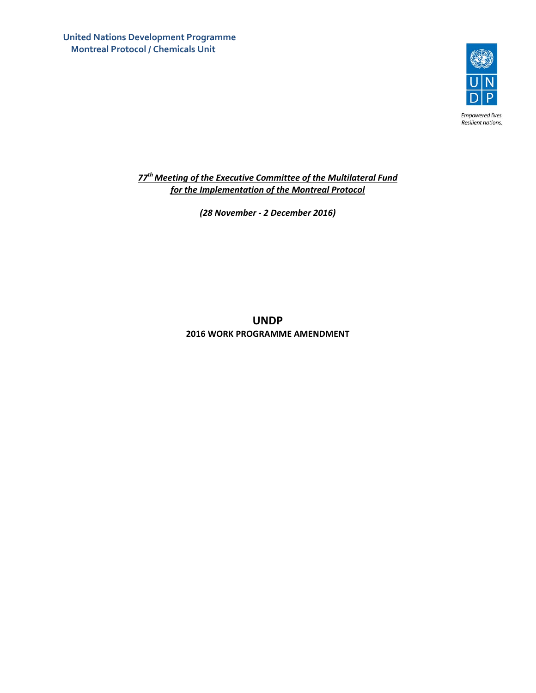**United Nations Development Programme Montreal Protocol / Chemicals Unit**



Empowered lives. Resilient nations.

*77thMeeting of the Executive Committee of the Multilateral Fund for the Implementation of the Montreal Protocol*

*(28 November ‐ 2 December 2016)*

**UNDP 2016 WORK PROGRAMME AMENDMENT**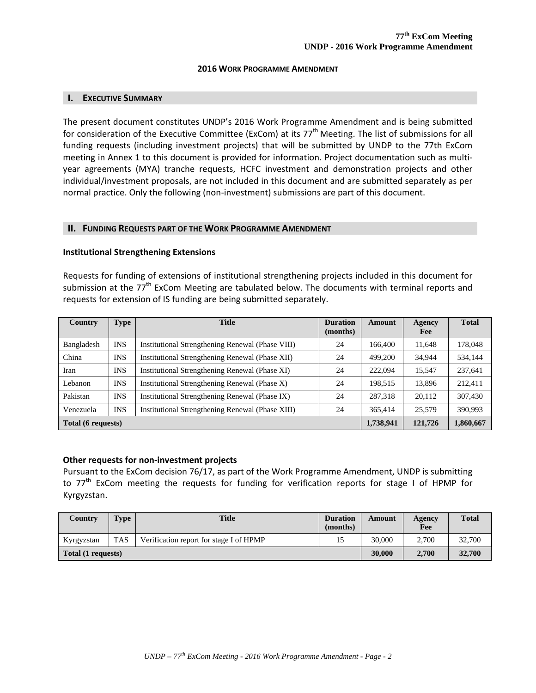#### **2016 WORK PROGRAMME AMENDMENT**

#### **I. EXECUTIVE SUMMARY**

The present document constitutes UNDP's 2016 Work Programme Amendment and is being submitted for consideration of the Executive Committee (ExCom) at its  $77<sup>th</sup>$  Meeting. The list of submissions for all funding requests (including investment projects) that will be submitted by UNDP to the 77th ExCom meeting in Annex 1 to this document is provided for information. Project documentation such as multiyear agreements (MYA) tranche requests, HCFC investment and demonstration projects and other individual/investment proposals, are not included in this document and are submitted separately as per normal practice. Only the following (non-investment) submissions are part of this document.

#### **II. FUNDING REQUESTS PART OF THE WORK PROGRAMME AMENDMENT**

#### **Institutional Strengthening Extensions**

Requests for funding of extensions of institutional strengthening projects included in this document for submission at the 77<sup>th</sup> ExCom Meeting are tabulated below. The documents with terminal reports and requests for extension of IS funding are being submitted separately.

| Country                   | <b>Type</b> | <b>Title</b>                                     | <b>Duration</b><br>(months) | <b>Amount</b> | <b>Agency</b><br>Fee | <b>Total</b> |
|---------------------------|-------------|--------------------------------------------------|-----------------------------|---------------|----------------------|--------------|
| Bangladesh                | <b>INS</b>  | Institutional Strengthening Renewal (Phase VIII) | 24                          | 166,400       | 11.648               | 178,048      |
| China                     | <b>INS</b>  | Institutional Strengthening Renewal (Phase XII)  | 24                          | 499,200       | 34.944               | 534,144      |
| Iran                      | <b>INS</b>  | Institutional Strengthening Renewal (Phase XI)   | 24                          | 222,094       | 15,547               | 237,641      |
| Lebanon                   | <b>INS</b>  | Institutional Strengthening Renewal (Phase X)    | 24                          | 198,515       | 13.896               | 212.411      |
| Pakistan                  | <b>INS</b>  | Institutional Strengthening Renewal (Phase IX)   | 24                          | 287.318       | 20.112               | 307,430      |
| Venezuela                 | <b>INS</b>  | Institutional Strengthening Renewal (Phase XIII) | 24                          | 365,414       | 25,579               | 390.993      |
| <b>Total (6 requests)</b> |             |                                                  |                             | 1,738,941     | 121,726              | 1,860,667    |

#### **Other requests for non‐investment projects**

Pursuant to the ExCom decision 76/17, as part of the Work Programme Amendment, UNDP is submitting to 77<sup>th</sup> ExCom meeting the requests for funding for verification reports for stage I of HPMP for Kyrgyzstan.

| Country            | <b>Type</b> | <b>Title</b>                            | <b>Duration</b><br>(months) | Amount | Agency<br>Fee | <b>Total</b> |
|--------------------|-------------|-----------------------------------------|-----------------------------|--------|---------------|--------------|
| Kyrgyzstan         | <b>TAS</b>  | Verification report for stage I of HPMP |                             | 30,000 | 2.700         | 32,700       |
| Total (1 requests) |             |                                         |                             | 30,000 | 2.700         | 32,700       |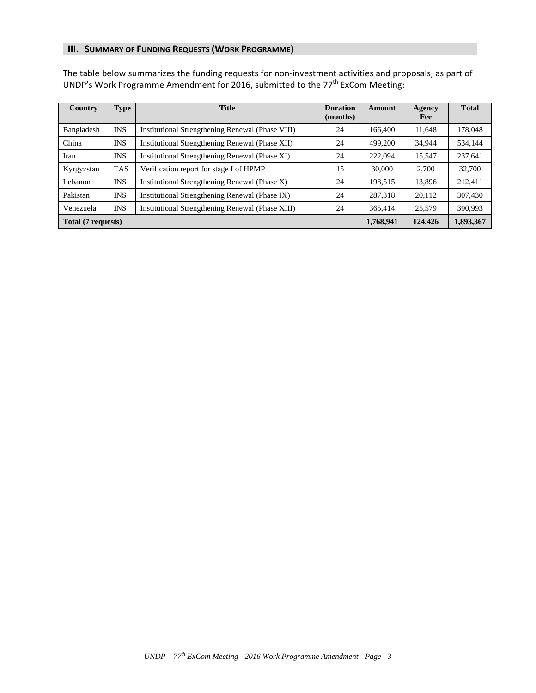### **III. SUMMARY OF FUNDING REQUESTS (WORK PROGRAMME)**

The table below summarizes the funding requests for non‐investment activities and proposals, as part of UNDP's Work Programme Amendment for 2016, submitted to the 77<sup>th</sup> ExCom Meeting:

| Country            | <b>Type</b> | <b>Title</b>                                     | <b>Duration</b><br>(months) | Amount  | Agency<br>Fee | <b>Total</b> |
|--------------------|-------------|--------------------------------------------------|-----------------------------|---------|---------------|--------------|
| Bangladesh         | <b>INS</b>  | Institutional Strengthening Renewal (Phase VIII) | 24                          | 166,400 | 11,648        | 178,048      |
| China              | <b>INS</b>  | Institutional Strengthening Renewal (Phase XII)  | 24                          | 499,200 | 34,944        | 534,144      |
| Iran               | <b>INS</b>  | Institutional Strengthening Renewal (Phase XI)   | 24                          | 222,094 | 15.547        | 237,641      |
| Kyrgyzstan         | <b>TAS</b>  | Verification report for stage I of HPMP          | 15                          | 30,000  | 2.700         | 32,700       |
| Lebanon            | <b>INS</b>  | Institutional Strengthening Renewal (Phase X)    | 24                          | 198.515 | 13,896        | 212,411      |
| Pakistan           | <b>INS</b>  | Institutional Strengthening Renewal (Phase IX)   | 24                          | 287,318 | 20,112        | 307,430      |
| Venezuela          | <b>INS</b>  | Institutional Strengthening Renewal (Phase XIII) | 24                          | 365,414 | 25.579        | 390.993      |
| Total (7 requests) |             |                                                  |                             |         | 124,426       | 1,893,367    |